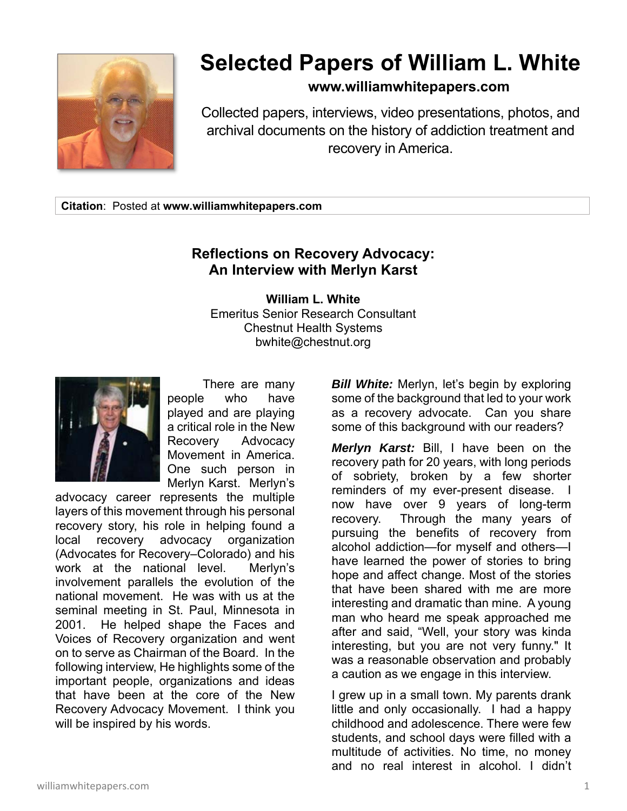

## **Selected Papers of William L. White**

## **www.williamwhitepapers.com**

Collected papers, interviews, video presentations, photos, and archival documents on the history of addiction treatment and recovery in America.

**Citation**: Posted at **www.williamwhitepapers.com** 

## **Reflections on Recovery Advocacy: An Interview with Merlyn Karst**

**William L. White**  Emeritus Senior Research Consultant Chestnut Health Systems bwhite@chestnut.org



 There are many people who have played and are playing a critical role in the New Recovery Advocacy Movement in America. One such person in Merlyn Karst. Merlyn's

advocacy career represents the multiple layers of this movement through his personal recovery story, his role in helping found a local recovery advocacy organization (Advocates for Recovery–Colorado) and his work at the national level. Merlyn's involvement parallels the evolution of the national movement. He was with us at the seminal meeting in St. Paul, Minnesota in 2001. He helped shape the Faces and Voices of Recovery organization and went on to serve as Chairman of the Board. In the following interview, He highlights some of the important people, organizations and ideas that have been at the core of the New Recovery Advocacy Movement. I think you will be inspired by his words.

*Bill White:* Merlyn, let's begin by exploring some of the background that led to your work as a recovery advocate. Can you share some of this background with our readers?

*Merlyn Karst:* Bill, I have been on the recovery path for 20 years, with long periods of sobriety, broken by a few shorter reminders of my ever-present disease. I now have over 9 years of long-term recovery. Through the many years of pursuing the benefits of recovery from alcohol addiction—for myself and others—I have learned the power of stories to bring hope and affect change. Most of the stories that have been shared with me are more interesting and dramatic than mine. A young man who heard me speak approached me after and said, "Well, your story was kinda interesting, but you are not very funny." It was a reasonable observation and probably a caution as we engage in this interview.

I grew up in a small town. My parents drank little and only occasionally. I had a happy childhood and adolescence. There were few students, and school days were filled with a multitude of activities. No time, no money and no real interest in alcohol. I didn't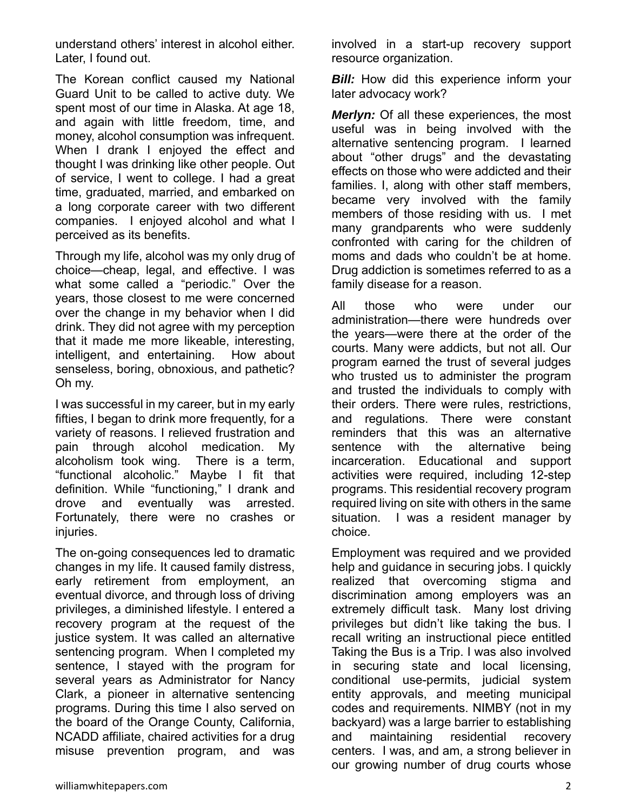understand others' interest in alcohol either. Later, I found out.

The Korean conflict caused my National Guard Unit to be called to active duty. We spent most of our time in Alaska. At age 18, and again with little freedom, time, and money, alcohol consumption was infrequent. When I drank I enjoyed the effect and thought I was drinking like other people. Out of service, I went to college. I had a great time, graduated, married, and embarked on a long corporate career with two different companies. I enjoyed alcohol and what I perceived as its benefits.

Through my life, alcohol was my only drug of choice—cheap, legal, and effective. I was what some called a "periodic." Over the years, those closest to me were concerned over the change in my behavior when I did drink. They did not agree with my perception that it made me more likeable, interesting, intelligent, and entertaining. How about senseless, boring, obnoxious, and pathetic? Oh my.

I was successful in my career, but in my early fifties, I began to drink more frequently, for a variety of reasons. I relieved frustration and pain through alcohol medication. My alcoholism took wing. There is a term, "functional alcoholic." Maybe I fit that definition. While "functioning," I drank and drove and eventually was arrested. Fortunately, there were no crashes or injuries.

The on-going consequences led to dramatic changes in my life. It caused family distress, early retirement from employment, an eventual divorce, and through loss of driving privileges, a diminished lifestyle. I entered a recovery program at the request of the justice system. It was called an alternative sentencing program. When I completed my sentence, I stayed with the program for several years as Administrator for Nancy Clark, a pioneer in alternative sentencing programs. During this time I also served on the board of the Orange County, California, NCADD affiliate, chaired activities for a drug misuse prevention program, and was

involved in a start-up recovery support resource organization.

*Bill:* How did this experience inform your later advocacy work?

*Merlyn:* Of all these experiences, the most useful was in being involved with the alternative sentencing program. I learned about "other drugs" and the devastating effects on those who were addicted and their families. I, along with other staff members, became very involved with the family members of those residing with us. I met many grandparents who were suddenly confronted with caring for the children of moms and dads who couldn't be at home. Drug addiction is sometimes referred to as a family disease for a reason.

All those who were under our administration—there were hundreds over the years—were there at the order of the courts. Many were addicts, but not all. Our program earned the trust of several judges who trusted us to administer the program and trusted the individuals to comply with their orders. There were rules, restrictions, and regulations. There were constant reminders that this was an alternative sentence with the alternative being incarceration. Educational and support activities were required, including 12-step programs. This residential recovery program required living on site with others in the same situation. I was a resident manager by choice.

Employment was required and we provided help and guidance in securing jobs. I quickly realized that overcoming stigma and discrimination among employers was an extremely difficult task. Many lost driving privileges but didn't like taking the bus. I recall writing an instructional piece entitled Taking the Bus is a Trip. I was also involved in securing state and local licensing, conditional use-permits, judicial system entity approvals, and meeting municipal codes and requirements. NIMBY (not in my backyard) was a large barrier to establishing and maintaining residential recovery centers. I was, and am, a strong believer in our growing number of drug courts whose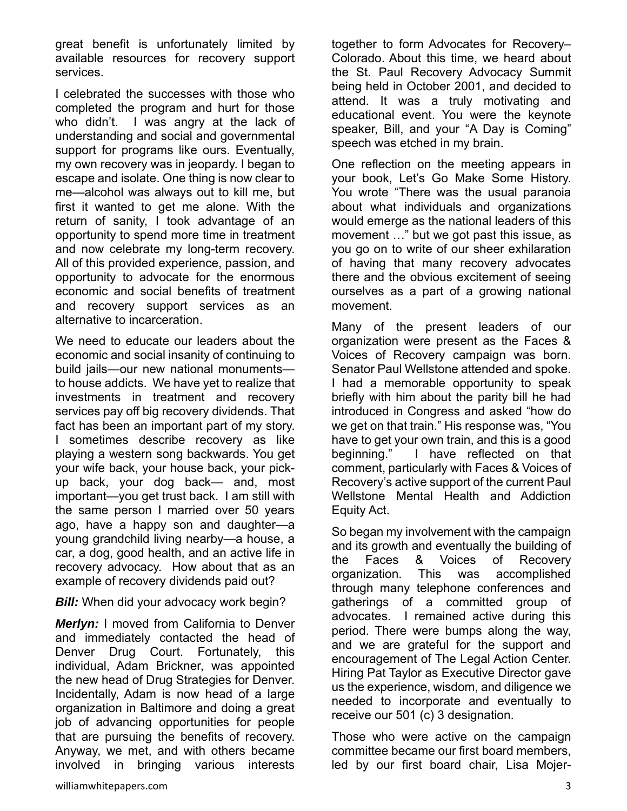great benefit is unfortunately limited by available resources for recovery support services.

I celebrated the successes with those who completed the program and hurt for those who didn't. I was angry at the lack of understanding and social and governmental support for programs like ours. Eventually, my own recovery was in jeopardy. I began to escape and isolate. One thing is now clear to me—alcohol was always out to kill me, but first it wanted to get me alone. With the return of sanity, I took advantage of an opportunity to spend more time in treatment and now celebrate my long-term recovery. All of this provided experience, passion, and opportunity to advocate for the enormous economic and social benefits of treatment and recovery support services as an alternative to incarceration.

We need to educate our leaders about the economic and social insanity of continuing to build jails—our new national monuments to house addicts. We have yet to realize that investments in treatment and recovery services pay off big recovery dividends. That fact has been an important part of my story. I sometimes describe recovery as like playing a western song backwards. You get your wife back, your house back, your pickup back, your dog back— and, most important—you get trust back. I am still with the same person I married over 50 years ago, have a happy son and daughter—a young grandchild living nearby—a house, a car, a dog, good health, and an active life in recovery advocacy. How about that as an example of recovery dividends paid out?

## **Bill:** When did your advocacy work begin?

*Merlyn:* I moved from California to Denver and immediately contacted the head of Denver Drug Court. Fortunately, this individual, Adam Brickner, was appointed the new head of Drug Strategies for Denver. Incidentally, Adam is now head of a large organization in Baltimore and doing a great job of advancing opportunities for people that are pursuing the benefits of recovery. Anyway, we met, and with others became involved in bringing various interests

together to form Advocates for Recovery– Colorado. About this time, we heard about the St. Paul Recovery Advocacy Summit being held in October 2001, and decided to attend. It was a truly motivating and educational event. You were the keynote speaker, Bill, and your "A Day is Coming" speech was etched in my brain.

One reflection on the meeting appears in your book, Let's Go Make Some History. You wrote "There was the usual paranoia about what individuals and organizations would emerge as the national leaders of this movement …" but we got past this issue, as you go on to write of our sheer exhilaration of having that many recovery advocates there and the obvious excitement of seeing ourselves as a part of a growing national movement.

Many of the present leaders of our organization were present as the Faces & Voices of Recovery campaign was born. Senator Paul Wellstone attended and spoke. I had a memorable opportunity to speak briefly with him about the parity bill he had introduced in Congress and asked "how do we get on that train." His response was, "You have to get your own train, and this is a good beginning." I have reflected on that comment, particularly with Faces & Voices of Recovery's active support of the current Paul Wellstone Mental Health and Addiction Equity Act.

So began my involvement with the campaign and its growth and eventually the building of the Faces & Voices of Recovery organization. This was accomplished through many telephone conferences and gatherings of a committed group of advocates. I remained active during this period. There were bumps along the way, and we are grateful for the support and encouragement of The Legal Action Center. Hiring Pat Taylor as Executive Director gave us the experience, wisdom, and diligence we needed to incorporate and eventually to receive our 501 (c) 3 designation.

Those who were active on the campaign committee became our first board members, led by our first board chair, Lisa Mojer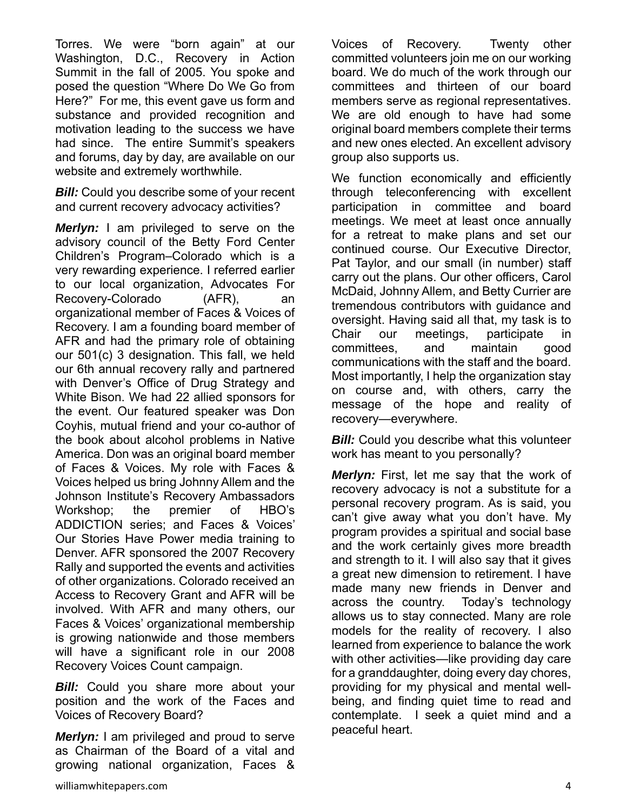Torres. We were "born again" at our Washington, D.C., Recovery in Action Summit in the fall of 2005. You spoke and posed the question "Where Do We Go from Here?" For me, this event gave us form and substance and provided recognition and motivation leading to the success we have had since. The entire Summit's speakers and forums, day by day, are available on our website and extremely worthwhile.

**Bill:** Could you describe some of your recent and current recovery advocacy activities?

*Merlyn:* I am privileged to serve on the advisory council of the Betty Ford Center Children's Program–Colorado which is a very rewarding experience. I referred earlier to our local organization, Advocates For Recovery-Colorado (AFR), an organizational member of Faces & Voices of Recovery. I am a founding board member of AFR and had the primary role of obtaining our 501(c) 3 designation. This fall, we held our 6th annual recovery rally and partnered with Denver's Office of Drug Strategy and White Bison. We had 22 allied sponsors for the event. Our featured speaker was Don Coyhis, mutual friend and your co-author of the book about alcohol problems in Native America. Don was an original board member of Faces & Voices. My role with Faces & Voices helped us bring Johnny Allem and the Johnson Institute's Recovery Ambassadors Workshop; the premier of HBO's ADDICTION series; and Faces & Voices' Our Stories Have Power media training to Denver. AFR sponsored the 2007 Recovery Rally and supported the events and activities of other organizations. Colorado received an Access to Recovery Grant and AFR will be involved. With AFR and many others, our Faces & Voices' organizational membership is growing nationwide and those members will have a significant role in our 2008 Recovery Voices Count campaign.

**Bill:** Could you share more about your position and the work of the Faces and Voices of Recovery Board?

*Merlyn:* I am privileged and proud to serve as Chairman of the Board of a vital and growing national organization, Faces &

Voices of Recovery. Twenty other committed volunteers join me on our working board. We do much of the work through our committees and thirteen of our board members serve as regional representatives. We are old enough to have had some original board members complete their terms and new ones elected. An excellent advisory group also supports us.

We function economically and efficiently through teleconferencing with excellent participation in committee and board meetings. We meet at least once annually for a retreat to make plans and set our continued course. Our Executive Director, Pat Taylor, and our small (in number) staff carry out the plans. Our other officers, Carol McDaid, Johnny Allem, and Betty Currier are tremendous contributors with guidance and oversight. Having said all that, my task is to Chair our meetings, participate in committees, and maintain good communications with the staff and the board. Most importantly, I help the organization stay on course and, with others, carry the message of the hope and reality of recovery—everywhere.

**Bill:** Could you describe what this volunteer work has meant to you personally?

*Merlyn:* First, let me say that the work of recovery advocacy is not a substitute for a personal recovery program. As is said, you can't give away what you don't have. My program provides a spiritual and social base and the work certainly gives more breadth and strength to it. I will also say that it gives a great new dimension to retirement. I have made many new friends in Denver and across the country. Today's technology allows us to stay connected. Many are role models for the reality of recovery. I also learned from experience to balance the work with other activities—like providing day care for a granddaughter, doing every day chores, providing for my physical and mental wellbeing, and finding quiet time to read and contemplate. I seek a quiet mind and a peaceful heart.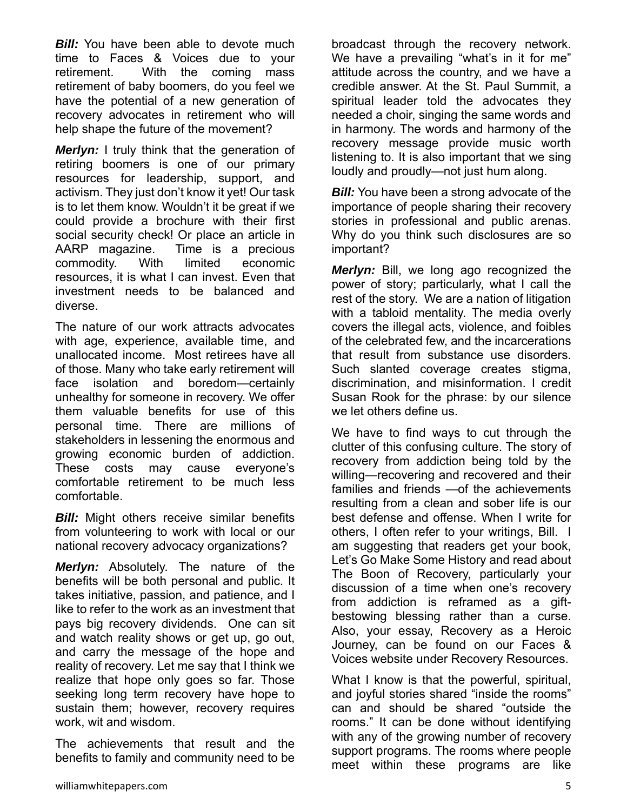**Bill:** You have been able to devote much time to Faces & Voices due to your retirement. With the coming mass retirement of baby boomers, do you feel we have the potential of a new generation of recovery advocates in retirement who will help shape the future of the movement?

*Merlyn:* I truly think that the generation of retiring boomers is one of our primary resources for leadership, support, and activism. They just don't know it yet! Our task is to let them know. Wouldn't it be great if we could provide a brochure with their first social security check! Or place an article in AARP magazine. Time is a precious commodity. With limited economic resources, it is what I can invest. Even that investment needs to be balanced and diverse.

The nature of our work attracts advocates with age, experience, available time, and unallocated income. Most retirees have all of those. Many who take early retirement will face isolation and boredom—certainly unhealthy for someone in recovery. We offer them valuable benefits for use of this personal time. There are millions of stakeholders in lessening the enormous and growing economic burden of addiction. These costs may cause everyone's comfortable retirement to be much less comfortable.

**Bill:** Might others receive similar benefits from volunteering to work with local or our national recovery advocacy organizations?

*Merlyn:* Absolutely. The nature of the benefits will be both personal and public. It takes initiative, passion, and patience, and I like to refer to the work as an investment that pays big recovery dividends. One can sit and watch reality shows or get up, go out, and carry the message of the hope and reality of recovery. Let me say that I think we realize that hope only goes so far. Those seeking long term recovery have hope to sustain them; however, recovery requires work, wit and wisdom.

The achievements that result and the benefits to family and community need to be broadcast through the recovery network. We have a prevailing "what's in it for me" attitude across the country, and we have a credible answer. At the St. Paul Summit, a spiritual leader told the advocates they needed a choir, singing the same words and in harmony. The words and harmony of the recovery message provide music worth listening to. It is also important that we sing loudly and proudly—not just hum along.

**Bill:** You have been a strong advocate of the importance of people sharing their recovery stories in professional and public arenas. Why do you think such disclosures are so important?

*Merlyn:* Bill, we long ago recognized the power of story; particularly, what I call the rest of the story. We are a nation of litigation with a tabloid mentality. The media overly covers the illegal acts, violence, and foibles of the celebrated few, and the incarcerations that result from substance use disorders. Such slanted coverage creates stigma, discrimination, and misinformation. I credit Susan Rook for the phrase: by our silence we let others define us.

We have to find ways to cut through the clutter of this confusing culture. The story of recovery from addiction being told by the willing—recovering and recovered and their families and friends —of the achievements resulting from a clean and sober life is our best defense and offense. When I write for others, I often refer to your writings, Bill. I am suggesting that readers get your book, Let's Go Make Some History and read about The Boon of Recovery, particularly your discussion of a time when one's recovery from addiction is reframed as a giftbestowing blessing rather than a curse. Also, your essay, Recovery as a Heroic Journey, can be found on our Faces & Voices website under Recovery Resources.

What I know is that the powerful, spiritual, and joyful stories shared "inside the rooms" can and should be shared "outside the rooms." It can be done without identifying with any of the growing number of recovery support programs. The rooms where people meet within these programs are like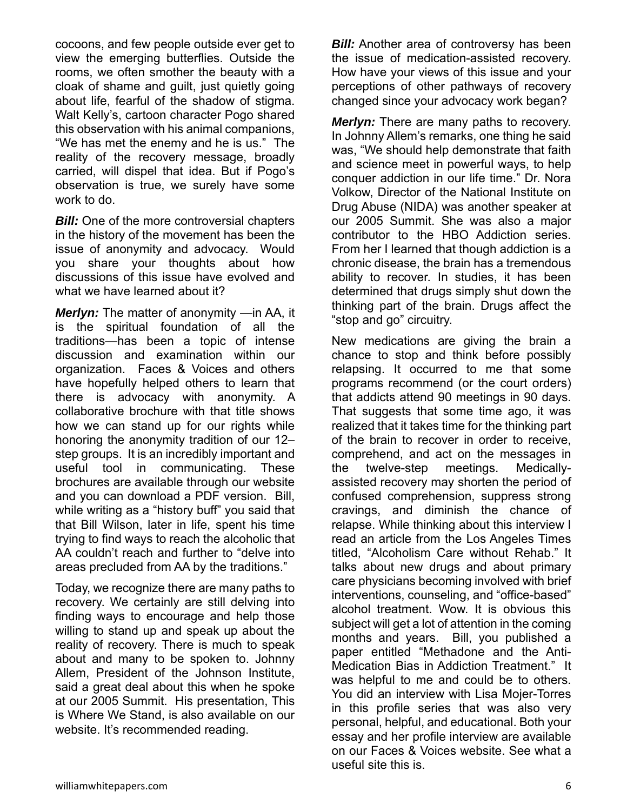cocoons, and few people outside ever get to view the emerging butterflies. Outside the rooms, we often smother the beauty with a cloak of shame and guilt, just quietly going about life, fearful of the shadow of stigma. Walt Kelly's, cartoon character Pogo shared this observation with his animal companions, "We has met the enemy and he is us." The reality of the recovery message, broadly carried, will dispel that idea. But if Pogo's observation is true, we surely have some work to do.

*Bill:* One of the more controversial chapters in the history of the movement has been the issue of anonymity and advocacy. Would you share your thoughts about how discussions of this issue have evolved and what we have learned about it?

*Merlyn:* The matter of anonymity —in AA, it is the spiritual foundation of all the traditions—has been a topic of intense discussion and examination within our organization. Faces & Voices and others have hopefully helped others to learn that there is advocacy with anonymity. A collaborative brochure with that title shows how we can stand up for our rights while honoring the anonymity tradition of our 12– step groups. It is an incredibly important and useful tool in communicating. These brochures are available through our website and you can download a PDF version. Bill, while writing as a "history buff" you said that that Bill Wilson, later in life, spent his time trying to find ways to reach the alcoholic that AA couldn't reach and further to "delve into areas precluded from AA by the traditions."

Today, we recognize there are many paths to recovery. We certainly are still delving into finding ways to encourage and help those willing to stand up and speak up about the reality of recovery. There is much to speak about and many to be spoken to. Johnny Allem, President of the Johnson Institute, said a great deal about this when he spoke at our 2005 Summit. His presentation, This is Where We Stand, is also available on our website. It's recommended reading.

*Bill:* Another area of controversy has been the issue of medication-assisted recovery. How have your views of this issue and your perceptions of other pathways of recovery changed since your advocacy work began?

*Merlyn:* There are many paths to recovery. In Johnny Allem's remarks, one thing he said was, "We should help demonstrate that faith and science meet in powerful ways, to help conquer addiction in our life time." Dr. Nora Volkow, Director of the National Institute on Drug Abuse (NIDA) was another speaker at our 2005 Summit. She was also a major contributor to the HBO Addiction series. From her I learned that though addiction is a chronic disease, the brain has a tremendous ability to recover. In studies, it has been determined that drugs simply shut down the thinking part of the brain. Drugs affect the "stop and go" circuitry.

New medications are giving the brain a chance to stop and think before possibly relapsing. It occurred to me that some programs recommend (or the court orders) that addicts attend 90 meetings in 90 days. That suggests that some time ago, it was realized that it takes time for the thinking part of the brain to recover in order to receive, comprehend, and act on the messages in the twelve-step meetings. Medicallyassisted recovery may shorten the period of confused comprehension, suppress strong cravings, and diminish the chance of relapse. While thinking about this interview I read an article from the Los Angeles Times titled, "Alcoholism Care without Rehab." It talks about new drugs and about primary care physicians becoming involved with brief interventions, counseling, and "office-based" alcohol treatment. Wow. It is obvious this subject will get a lot of attention in the coming months and years. Bill, you published a paper entitled "Methadone and the Anti-Medication Bias in Addiction Treatment." It was helpful to me and could be to others. You did an interview with Lisa Mojer-Torres in this profile series that was also very personal, helpful, and educational. Both your essay and her profile interview are available on our Faces & Voices website. See what a useful site this is.